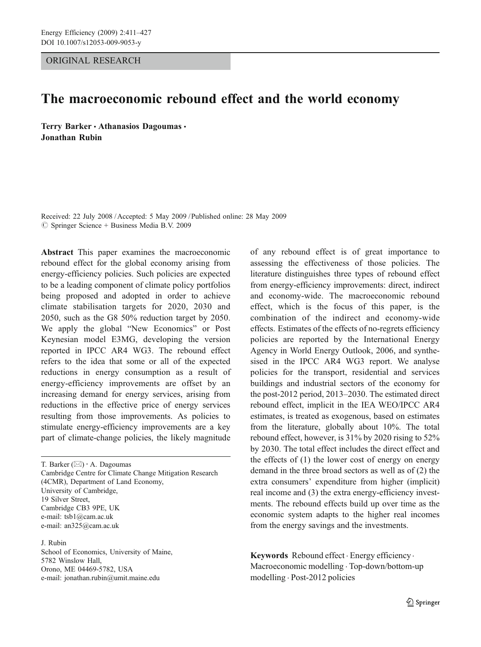ORIGINAL RESEARCH

# The macroeconomic rebound effect and the world economy

Terry Barker · Athanasios Dagoumas · Jonathan Rubin

Received: 22 July 2008 /Accepted: 5 May 2009 / Published online: 28 May 2009  $\circled{c}$  Springer Science + Business Media B.V. 2009

Abstract This paper examines the macroeconomic rebound effect for the global economy arising from energy-efficiency policies. Such policies are expected to be a leading component of climate policy portfolios being proposed and adopted in order to achieve climate stabilisation targets for 2020, 2030 and 2050, such as the G8 50% reduction target by 2050. We apply the global "New Economics" or Post Keynesian model E3MG, developing the version reported in IPCC AR4 WG3. The rebound effect refers to the idea that some or all of the expected reductions in energy consumption as a result of energy-efficiency improvements are offset by an increasing demand for energy services, arising from reductions in the effective price of energy services resulting from those improvements. As policies to stimulate energy-efficiency improvements are a key part of climate-change policies, the likely magnitude

T. Barker (*\**) : A. Dagoumas Cambridge Centre for Climate Change Mitigation Research (4CMR), Department of Land Economy, University of Cambridge, 19 Silver Street, Cambridge CB3 9PE, UK e-mail: tsb1@cam.ac.uk e-mail: an325@cam.ac.uk

J. Rubin School of Economics, University of Maine, 5782 Winslow Hall, Orono, ME 04469-5782, USA e-mail: jonathan.rubin@umit.maine.edu

of any rebound effect is of great importance to assessing the effectiveness of those policies. The literature distinguishes three types of rebound effect from energy-efficiency improvements: direct, indirect and economy-wide. The macroeconomic rebound effect, which is the focus of this paper, is the combination of the indirect and economy-wide effects. Estimates of the effects of no-regrets efficiency policies are reported by the International Energy Agency in World Energy Outlook, 2006, and synthesised in the IPCC AR4 WG3 report. We analyse policies for the transport, residential and services buildings and industrial sectors of the economy for the post-2012 period, 2013–2030. The estimated direct rebound effect, implicit in the IEA WEO/IPCC AR4 estimates, is treated as exogenous, based on estimates from the literature, globally about 10%. The total rebound effect, however, is 31% by 2020 rising to 52% by 2030. The total effect includes the direct effect and the effects of (1) the lower cost of energy on energy demand in the three broad sectors as well as of (2) the extra consumers' expenditure from higher (implicit) real income and (3) the extra energy-efficiency investments. The rebound effects build up over time as the economic system adapts to the higher real incomes from the energy savings and the investments.

Keywords Rebound effect · Energy efficiency · Macroeconomic modelling . Top-down/bottom-up modelling . Post-2012 policies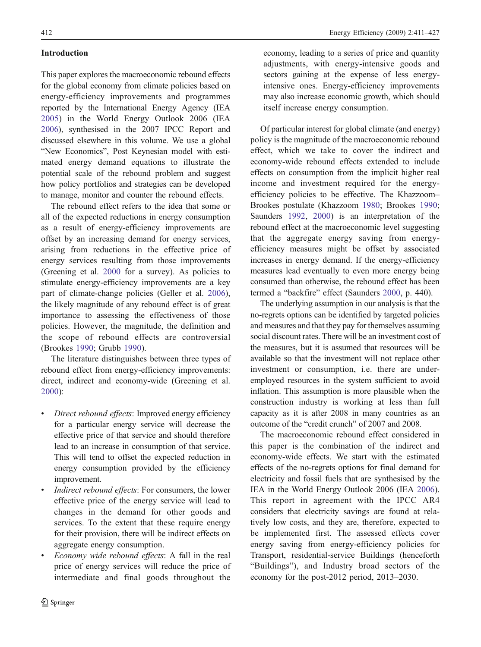# Introduction

This paper explores the macroeconomic rebound effects for the global economy from climate policies based on energy-efficiency improvements and programmes reported by the International Energy Agency (IEA [2005](#page-15-0)) in the World Energy Outlook 2006 (IEA [2006](#page-15-0)), synthesised in the 2007 IPCC Report and discussed elsewhere in this volume. We use a global "New Economics", Post Keynesian model with estimated energy demand equations to illustrate the potential scale of the rebound problem and suggest how policy portfolios and strategies can be developed to manage, monitor and counter the rebound effects.

The rebound effect refers to the idea that some or all of the expected reductions in energy consumption as a result of energy-efficiency improvements are offset by an increasing demand for energy services, arising from reductions in the effective price of energy services resulting from those improvements (Greening et al. [2000](#page-15-0) for a survey). As policies to stimulate energy-efficiency improvements are a key part of climate-change policies (Geller et al. [2006](#page-15-0)), the likely magnitude of any rebound effect is of great importance to assessing the effectiveness of those policies. However, the magnitude, the definition and the scope of rebound effects are controversial (Brookes [1990](#page-15-0); Grubb [1990\)](#page-15-0).

The literature distinguishes between three types of rebound effect from energy-efficiency improvements: direct, indirect and economy-wide (Greening et al. [2000\)](#page-15-0):

- Direct rebound effects: Improved energy efficiency for a particular energy service will decrease the effective price of that service and should therefore lead to an increase in consumption of that service. This will tend to offset the expected reduction in energy consumption provided by the efficiency improvement.
- Indirect rebound effects: For consumers, the lower effective price of the energy service will lead to changes in the demand for other goods and services. To the extent that these require energy for their provision, there will be indirect effects on aggregate energy consumption.
- Economy wide rebound effects: A fall in the real price of energy services will reduce the price of intermediate and final goods throughout the

economy, leading to a series of price and quantity adjustments, with energy-intensive goods and sectors gaining at the expense of less energyintensive ones. Energy-efficiency improvements may also increase economic growth, which should itself increase energy consumption.

Of particular interest for global climate (and energy) policy is the magnitude of the macroeconomic rebound effect, which we take to cover the indirect and economy-wide rebound effects extended to include effects on consumption from the implicit higher real income and investment required for the energyefficiency policies to be effective. The Khazzoom– Brookes postulate (Khazzoom [1980](#page-16-0); Brookes [1990;](#page-15-0) Saunders [1992,](#page-16-0) [2000](#page-16-0)) is an interpretation of the rebound effect at the macroeconomic level suggesting that the aggregate energy saving from energyefficiency measures might be offset by associated increases in energy demand. If the energy-efficiency measures lead eventually to even more energy being consumed than otherwise, the rebound effect has been termed a "backfire" effect (Saunders [2000,](#page-16-0) p. 440).

The underlying assumption in our analysis is that the no-regrets options can be identified by targeted policies and measures and that they pay for themselves assuming social discount rates. There will be an investment cost of the measures, but it is assumed that resources will be available so that the investment will not replace other investment or consumption, i.e. there are underemployed resources in the system sufficient to avoid inflation. This assumption is more plausible when the construction industry is working at less than full capacity as it is after 2008 in many countries as an outcome of the "credit crunch" of 2007 and 2008.

The macroeconomic rebound effect considered in this paper is the combination of the indirect and economy-wide effects. We start with the estimated effects of the no-regrets options for final demand for electricity and fossil fuels that are synthesised by the IEA in the World Energy Outlook 2006 (IEA [2006\)](#page-15-0). This report in agreement with the IPCC AR4 considers that electricity savings are found at relatively low costs, and they are, therefore, expected to be implemented first. The assessed effects cover energy saving from energy-efficiency policies for Transport, residential-service Buildings (henceforth "Buildings"), and Industry broad sectors of the economy for the post-2012 period, 2013–2030.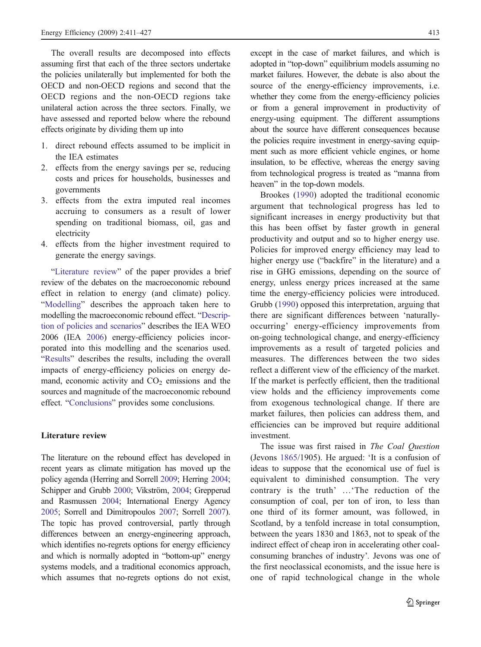The overall results are decomposed into effects assuming first that each of the three sectors undertake the policies unilaterally but implemented for both the OECD and non-OECD regions and second that the OECD regions and the non-OECD regions take unilateral action across the three sectors. Finally, we have assessed and reported below where the rebound effects originate by dividing them up into

- 1. direct rebound effects assumed to be implicit in the IEA estimates
- 2. effects from the energy savings per se, reducing costs and prices for households, businesses and governments
- 3. effects from the extra imputed real incomes accruing to consumers as a result of lower spending on traditional biomass, oil, gas and electricity
- 4. effects from the higher investment required to generate the energy savings.

"Literature review" of the paper provides a brief review of the debates on the macroeconomic rebound effect in relation to energy (and climate) policy. "[Modelling](#page-3-0)" describes the approach taken here to modelling the macroeconomic rebound effect. "[Descrip](#page-7-0)[tion of policies and scenarios](#page-7-0)" describes the IEA WEO 2006 (IEA [2006](#page-15-0)) energy-efficiency policies incorporated into this modelling and the scenarios used. "[Results](#page-10-0)" describes the results, including the overall impacts of energy-efficiency policies on energy demand, economic activity and  $CO<sub>2</sub>$  emissions and the sources and magnitude of the macroeconomic rebound effect. "[Conclusions](#page-14-0)" provides some conclusions.

## Literature review

The literature on the rebound effect has developed in recent years as climate mitigation has moved up the policy agenda (Herring and Sorrell [2009;](#page-15-0) Herring [2004](#page-15-0); Schipper and Grubb [2000;](#page-16-0) Vikström, [2004](#page-16-0); Grepperud and Rasmussen [2004](#page-15-0); International Energy Agency [2005;](#page-15-0) Sorrell and Dimitropoulos [2007](#page-16-0); Sorrell [2007\)](#page-16-0). The topic has proved controversial, partly through differences between an energy-engineering approach, which identifies no-regrets options for energy efficiency and which is normally adopted in "bottom-up" energy systems models, and a traditional economics approach, which assumes that no-regrets options do not exist, except in the case of market failures, and which is adopted in "top-down" equilibrium models assuming no market failures. However, the debate is also about the source of the energy-efficiency improvements, i.e. whether they come from the energy-efficiency policies or from a general improvement in productivity of energy-using equipment. The different assumptions about the source have different consequences because the policies require investment in energy-saving equipment such as more efficient vehicle engines, or home insulation, to be effective, whereas the energy saving from technological progress is treated as "manna from heaven" in the top-down models.

Brookes ([1990\)](#page-15-0) adopted the traditional economic argument that technological progress has led to significant increases in energy productivity but that this has been offset by faster growth in general productivity and output and so to higher energy use. Policies for improved energy efficiency may lead to higher energy use ("backfire" in the literature) and a rise in GHG emissions, depending on the source of energy, unless energy prices increased at the same time the energy-efficiency policies were introduced. Grubb [\(1990](#page-15-0)) opposed this interpretation, arguing that there are significant differences between 'naturallyoccurring' energy-efficiency improvements from on-going technological change, and energy-efficiency improvements as a result of targeted policies and measures. The differences between the two sides reflect a different view of the efficiency of the market. If the market is perfectly efficient, then the traditional view holds and the efficiency improvements come from exogenous technological change. If there are market failures, then policies can address them, and efficiencies can be improved but require additional investment.

The issue was first raised in The Coal Question (Jevons [1865/](#page-16-0)1905). He argued: 'It is a confusion of ideas to suppose that the economical use of fuel is equivalent to diminished consumption. The very contrary is the truth' …'The reduction of the consumption of coal, per ton of iron, to less than one third of its former amount, was followed, in Scotland, by a tenfold increase in total consumption, between the years 1830 and 1863, not to speak of the indirect effect of cheap iron in accelerating other coalconsuming branches of industry'. Jevons was one of the first neoclassical economists, and the issue here is one of rapid technological change in the whole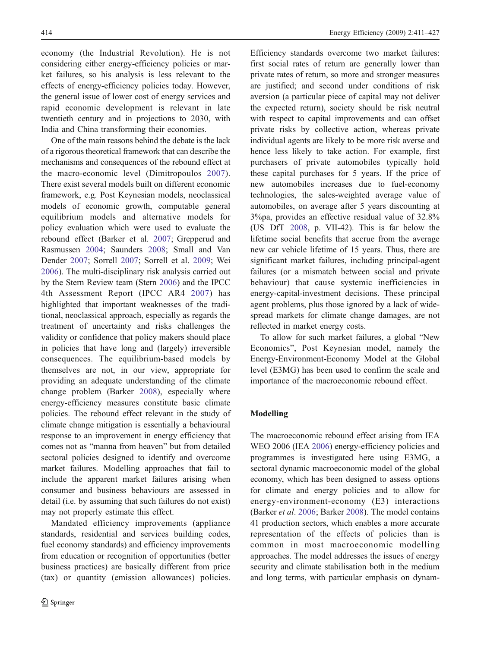<span id="page-3-0"></span>economy (the Industrial Revolution). He is not considering either energy-efficiency policies or market failures, so his analysis is less relevant to the effects of energy-efficiency policies today. However, the general issue of lower cost of energy services and rapid economic development is relevant in late twentieth century and in projections to 2030, with India and China transforming their economies.

One of the main reasons behind the debate is the lack of a rigorous theoretical framework that can describe the mechanisms and consequences of the rebound effect at the macro-economic level (Dimitropoulos [2007](#page-15-0)). There exist several models built on different economic framework, e.g. Post Keynesian models, neoclassical models of economic growth, computable general equilibrium models and alternative models for policy evaluation which were used to evaluate the rebound effect (Barker et al. [2007;](#page-15-0) Grepperud and Rasmussen [2004](#page-15-0); Saunders [2008;](#page-16-0) Small and Van Dender [2007;](#page-16-0) Sorrell [2007](#page-16-0); Sorrell et al. [2009;](#page-16-0) Wei [2006\)](#page-16-0). The multi-disciplinary risk analysis carried out by the Stern Review team (Stern [2006](#page-16-0)) and the IPCC 4th Assessment Report (IPCC AR4 [2007](#page-16-0)) has highlighted that important weaknesses of the traditional, neoclassical approach, especially as regards the treatment of uncertainty and risks challenges the validity or confidence that policy makers should place in policies that have long and (largely) irreversible consequences. The equilibrium-based models by themselves are not, in our view, appropriate for providing an adequate understanding of the climate change problem (Barker [2008\)](#page-15-0), especially where energy-efficiency measures constitute basic climate policies. The rebound effect relevant in the study of climate change mitigation is essentially a behavioural response to an improvement in energy efficiency that comes not as "manna from heaven" but from detailed sectoral policies designed to identify and overcome market failures. Modelling approaches that fail to include the apparent market failures arising when consumer and business behaviours are assessed in detail (i.e. by assuming that such failures do not exist) may not properly estimate this effect.

Mandated efficiency improvements (appliance standards, residential and services building codes, fuel economy standards) and efficiency improvements from education or recognition of opportunities (better business practices) are basically different from price (tax) or quantity (emission allowances) policies.

Efficiency standards overcome two market failures: first social rates of return are generally lower than private rates of return, so more and stronger measures are justified; and second under conditions of risk aversion (a particular piece of capital may not deliver the expected return), society should be risk neutral with respect to capital improvements and can offset private risks by collective action, whereas private individual agents are likely to be more risk averse and hence less likely to take action. For example, first purchasers of private automobiles typically hold these capital purchases for 5 years. If the price of new automobiles increases due to fuel-economy technologies, the sales-weighted average value of automobiles, on average after 5 years discounting at 3%pa, provides an effective residual value of 32.8% (US DfT [2008](#page-16-0), p. VII-42). This is far below the lifetime social benefits that accrue from the average new car vehicle lifetime of 15 years. Thus, there are significant market failures, including principal-agent failures (or a mismatch between social and private behaviour) that cause systemic inefficiencies in energy-capital-investment decisions. These principal agent problems, plus those ignored by a lack of widespread markets for climate change damages, are not reflected in market energy costs.

To allow for such market failures, a global "New Economics", Post Keynesian model, namely the Energy-Environment-Economy Model at the Global level (E3MG) has been used to confirm the scale and importance of the macroeconomic rebound effect.

#### Modelling

The macroeconomic rebound effect arising from IEA WEO 2006 (IEA [2006\)](#page-15-0) energy-efficiency policies and programmes is investigated here using E3MG, a sectoral dynamic macroeconomic model of the global economy, which has been designed to assess options for climate and energy policies and to allow for energy-environment-economy (E3) interactions (Barker et al. [2006](#page-15-0); Barker [2008\)](#page-15-0). The model contains 41 production sectors, which enables a more accurate representation of the effects of policies than is common in most macroeconomic modelling approaches. The model addresses the issues of energy security and climate stabilisation both in the medium and long terms, with particular emphasis on dynam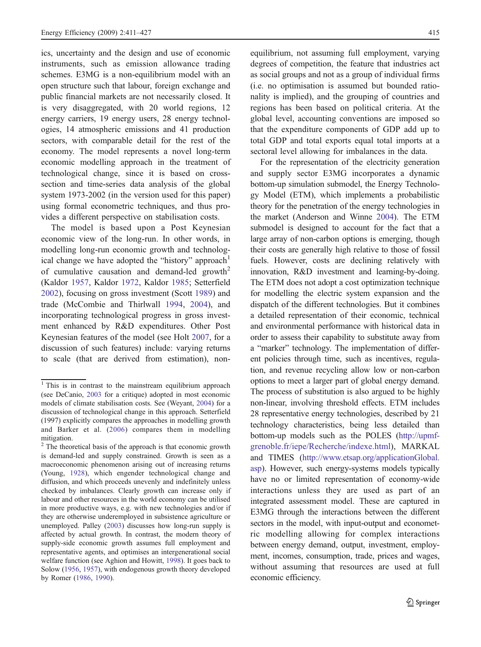ics, uncertainty and the design and use of economic instruments, such as emission allowance trading schemes. E3MG is a non-equilibrium model with an open structure such that labour, foreign exchange and public financial markets are not necessarily closed. It is very disaggregated, with 20 world regions, 12 energy carriers, 19 energy users, 28 energy technologies, 14 atmospheric emissions and 41 production sectors, with comparable detail for the rest of the economy. The model represents a novel long-term economic modelling approach in the treatment of technological change, since it is based on crosssection and time-series data analysis of the global system 1973-2002 (in the version used for this paper) using formal econometric techniques, and thus provides a different perspective on stabilisation costs.

The model is based upon a Post Keynesian economic view of the long-run. In other words, in modelling long-run economic growth and technological change we have adopted the "history" approach<sup>1</sup> of cumulative causation and demand-led growth<sup>2</sup> (Kaldor [1957,](#page-16-0) Kaldor [1972](#page-16-0), Kaldor [1985](#page-16-0); Setterfield [2002\)](#page-16-0), focusing on gross investment (Scott [1989\)](#page-16-0) and trade (McCombie and Thirlwall [1994](#page-16-0), [2004](#page-16-0)), and incorporating technological progress in gross investment enhanced by R&D expenditures. Other Post Keynesian features of the model (see Holt [2007](#page-15-0), for a discussion of such features) include: varying returns to scale (that are derived from estimation), nonequilibrium, not assuming full employment, varying degrees of competition, the feature that industries act as social groups and not as a group of individual firms (i.e. no optimisation is assumed but bounded rationality is implied), and the grouping of countries and regions has been based on political criteria. At the global level, accounting conventions are imposed so that the expenditure components of GDP add up to total GDP and total exports equal total imports at a sectoral level allowing for imbalances in the data.

For the representation of the electricity generation and supply sector E3MG incorporates a dynamic bottom-up simulation submodel, the Energy Technology Model (ETM), which implements a probabilistic theory for the penetration of the energy technologies in the market (Anderson and Winne [2004\)](#page-15-0). The ETM submodel is designed to account for the fact that a large array of non-carbon options is emerging, though their costs are generally high relative to those of fossil fuels. However, costs are declining relatively with innovation, R&D investment and learning-by-doing. The ETM does not adopt a cost optimization technique for modelling the electric system expansion and the dispatch of the different technologies. But it combines a detailed representation of their economic, technical and environmental performance with historical data in order to assess their capability to substitute away from a "marker" technology. The implementation of different policies through time, such as incentives, regulation, and revenue recycling allow low or non-carbon options to meet a larger part of global energy demand. The process of substitution is also argued to be highly non-linear, involving threshold effects. ETM includes 28 representative energy technologies, described by 21 technology characteristics, being less detailed than bottom-up models such as the POLES ([http://upmf](http://upmf-grenoble.fr/iepe/Recherche/indexe.html)[grenoble.fr/iepe/Recherche/indexe.html\)](http://upmf-grenoble.fr/iepe/Recherche/indexe.html), MARKAL and TIMES [\(http://www.etsap.org/applicationGlobal.](http://www.etsap.org/applicationGlobal.asp) [asp\)](http://www.etsap.org/applicationGlobal.asp). However, such energy-systems models typically have no or limited representation of economy-wide interactions unless they are used as part of an integrated assessment model. These are captured in E3MG through the interactions between the different sectors in the model, with input-output and econometric modelling allowing for complex interactions between energy demand, output, investment, employment, incomes, consumption, trade, prices and wages, without assuming that resources are used at full economic efficiency.

<sup>&</sup>lt;sup>1</sup> This is in contrast to the mainstream equilibrium approach (see DeCanio, [2003](#page-15-0) for a critique) adopted in most economic models of climate stabilisation costs. See (Weyant, [2004\)](#page-16-0) for a discussion of technological change in this approach. Setterfield (1997) explicitly compares the approaches in modelling growth and Barker et al. [\(2006](#page-15-0)) compares them in modelling mitigation.

 $2<sup>2</sup>$  The theoretical basis of the approach is that economic growth is demand-led and supply constrained. Growth is seen as a macroeconomic phenomenon arising out of increasing returns (Young, [1928\)](#page-16-0), which engender technological change and diffusion, and which proceeds unevenly and indefinitely unless checked by imbalances. Clearly growth can increase only if labour and other resources in the world economy can be utilised in more productive ways, e.g. with new technologies and/or if they are otherwise underemployed in subsistence agriculture or unemployed. Palley [\(2003](#page-16-0)) discusses how long-run supply is affected by actual growth. In contrast, the modern theory of supply-side economic growth assumes full employment and representative agents, and optimises an intergenerational social welfare function (see Aghion and Howitt, [1998\)](#page-15-0). It goes back to Solow [\(1956](#page-16-0), [1957](#page-16-0)), with endogenous growth theory developed by Romer [\(1986](#page-16-0), [1990](#page-16-0)).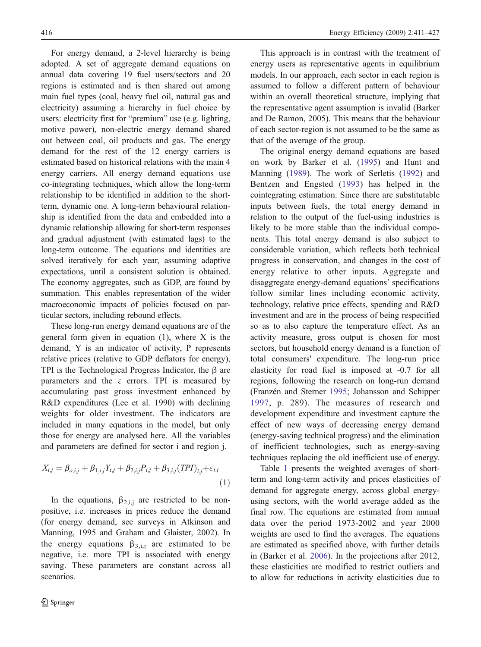For energy demand, a 2-level hierarchy is being adopted. A set of aggregate demand equations on annual data covering 19 fuel users/sectors and 20 regions is estimated and is then shared out among main fuel types (coal, heavy fuel oil, natural gas and electricity) assuming a hierarchy in fuel choice by users: electricity first for "premium" use (e.g. lighting, motive power), non-electric energy demand shared out between coal, oil products and gas. The energy demand for the rest of the 12 energy carriers is estimated based on historical relations with the main 4 energy carriers. All energy demand equations use co-integrating techniques, which allow the long-term relationship to be identified in addition to the shortterm, dynamic one. A long-term behavioural relationship is identified from the data and embedded into a dynamic relationship allowing for short-term responses and gradual adjustment (with estimated lags) to the long-term outcome. The equations and identities are solved iteratively for each year, assuming adaptive expectations, until a consistent solution is obtained. The economy aggregates, such as GDP, are found by summation. This enables representation of the wider macroeconomic impacts of policies focused on particular sectors, including rebound effects.

These long-run energy demand equations are of the general form given in equation  $(1)$ , where X is the demand, Y is an indicator of activity, P represents relative prices (relative to GDP deflators for energy), TPI is the Technological Progress Indicator, the β are parameters and the  $\varepsilon$  errors. TPI is measured by accumulating past gross investment enhanced by R&D expenditures (Lee et al. 1990) with declining weights for older investment. The indicators are included in many equations in the model, but only those for energy are analysed here. All the variables and parameters are defined for sector i and region j.

$$
X_{i,j} = \beta_{o,i,j} + \beta_{1,i,j} Y_{i,j} + \beta_{2,i,j} P_{i,j} + \beta_{3,i,j} (TPI)_{i,j} + \varepsilon_{i,j}
$$
\n(1)

In the equations,  $\beta_{2,i,j}$  are restricted to be nonpositive, i.e. increases in prices reduce the demand (for energy demand, see surveys in Atkinson and Manning, 1995 and Graham and Glaister, 2002). In the energy equations  $\beta_{3,i,j}$  are estimated to be negative, i.e. more TPI is associated with energy saving. These parameters are constant across all scenarios.

This approach is in contrast with the treatment of energy users as representative agents in equilibrium models. In our approach, each sector in each region is assumed to follow a different pattern of behaviour within an overall theoretical structure, implying that the representative agent assumption is invalid (Barker and De Ramon, 2005). This means that the behaviour of each sector-region is not assumed to be the same as that of the average of the group.

The original energy demand equations are based on work by Barker et al. ([1995\)](#page-15-0) and Hunt and Manning [\(1989](#page-15-0)). The work of Serletis ([1992\)](#page-16-0) and Bentzen and Engsted ([1993\)](#page-15-0) has helped in the cointegrating estimation. Since there are substitutable inputs between fuels, the total energy demand in relation to the output of the fuel-using industries is likely to be more stable than the individual components. This total energy demand is also subject to considerable variation, which reflects both technical progress in conservation, and changes in the cost of energy relative to other inputs. Aggregate and disaggregate energy-demand equations' specifications follow similar lines including economic activity, technology, relative price effects, spending and R&D investment and are in the process of being respecified so as to also capture the temperature effect. As an activity measure, gross output is chosen for most sectors, but household energy demand is a function of total consumers' expenditure. The long-run price elasticity for road fuel is imposed at -0.7 for all regions, following the research on long-run demand (Franzén and Sterner [1995;](#page-15-0) Johansson and Schipper [1997](#page-16-0), p. 289). The measures of research and development expenditure and investment capture the effect of new ways of decreasing energy demand (energy-saving technical progress) and the elimination of inefficient technologies, such as energy-saving techniques replacing the old inefficient use of energy.

Table [1](#page-6-0) presents the weighted averages of shortterm and long-term activity and prices elasticities of demand for aggregate energy, across global energyusing sectors, with the world average added as the final row. The equations are estimated from annual data over the period 1973-2002 and year 2000 weights are used to find the averages. The equations are estimated as specified above, with further details in (Barker et al. [2006\)](#page-15-0). In the projections after 2012, these elasticities are modified to restrict outliers and to allow for reductions in activity elasticities due to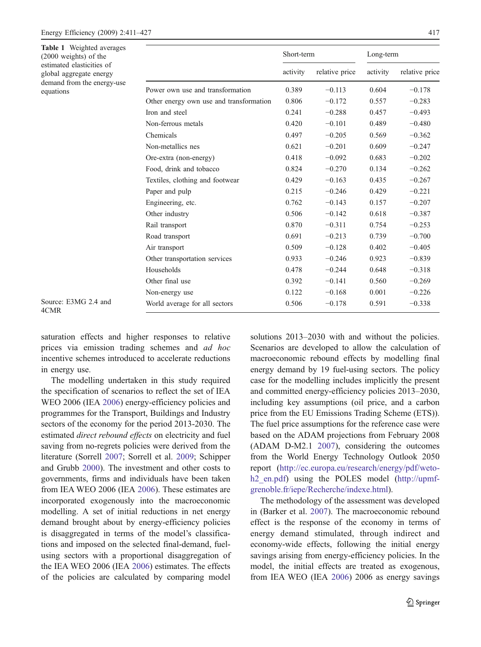eq

<span id="page-6-0"></span>

| <b>Table 1</b> Weighted averages<br>(2000 weights) of the |                                         | Short-term |                | Long-term |                |  |
|-----------------------------------------------------------|-----------------------------------------|------------|----------------|-----------|----------------|--|
| estimated elasticities of<br>global aggregate energy      |                                         | activity   | relative price | activity  | relative price |  |
| demand from the energy-use<br>equations                   | Power own use and transformation        | 0.389      | $-0.113$       | 0.604     | $-0.178$       |  |
|                                                           | Other energy own use and transformation | 0.806      | $-0.172$       | 0.557     | $-0.283$       |  |
|                                                           | Iron and steel                          | 0.241      | $-0.288$       | 0.457     | $-0.493$       |  |
|                                                           | Non-ferrous metals                      | 0.420      | $-0.101$       | 0.489     | $-0.480$       |  |
|                                                           | Chemicals                               | 0.497      | $-0.205$       | 0.569     | $-0.362$       |  |
|                                                           | Non-metallics nes                       | 0.621      | $-0.201$       | 0.609     | $-0.247$       |  |
|                                                           | Ore-extra (non-energy)                  | 0.418      | $-0.092$       | 0.683     | $-0.202$       |  |
|                                                           | Food, drink and tobacco                 | 0.824      | $-0.270$       | 0.134     | $-0.262$       |  |
|                                                           | Textiles, clothing and footwear         | 0.429      | $-0.163$       | 0.435     | $-0.267$       |  |
|                                                           | Paper and pulp                          | 0.215      | $-0.246$       | 0.429     | $-0.221$       |  |
|                                                           | Engineering, etc.                       | 0.762      | $-0.143$       | 0.157     | $-0.207$       |  |
|                                                           | Other industry                          | 0.506      | $-0.142$       | 0.618     | $-0.387$       |  |
|                                                           | Rail transport                          | 0.870      | $-0.311$       | 0.754     | $-0.253$       |  |
|                                                           | Road transport                          | 0.691      | $-0.213$       | 0.739     | $-0.700$       |  |
|                                                           | Air transport                           | 0.509      | $-0.128$       | 0.402     | $-0.405$       |  |
|                                                           | Other transportation services           | 0.933      | $-0.246$       | 0.923     | $-0.839$       |  |
|                                                           | Households                              | 0.478      | $-0.244$       | 0.648     | $-0.318$       |  |
|                                                           | Other final use                         | 0.392      | $-0.141$       | 0.560     | $-0.269$       |  |
|                                                           | Non-energy use                          | 0.122      | $-0.168$       | 0.001     | $-0.226$       |  |
| Source: E3MG 2.4 and<br>4CMR                              | World average for all sectors           | 0.506      | $-0.178$       | 0.591     | $-0.338$       |  |

 $\overline{4}$ C

saturation effects and higher responses to relative prices via emission trading schemes and *ad hoc* incentive schemes introduced to accelerate reductions in energy use.

The modelling undertaken in this study required the specification of scenarios to reflect the set of IEA WEO 2006 (IEA [2006\)](#page-15-0) energy-efficiency policies and programmes for the Transport, Buildings and Industry sectors of the economy for the period 2013-2030. The estimated direct rebound effects on electricity and fuel saving from no-regrets policies were derived from the literature (Sorrell [2007;](#page-16-0) Sorrell et al. [2009;](#page-16-0) Schipper and Grubb [2000\)](#page-16-0). The investment and other costs to governments, firms and individuals have been taken from IEA WEO 2006 (IEA [2006\)](#page-15-0). These estimates are incorporated exogenously into the macroeconomic modelling. A set of initial reductions in net energy demand brought about by energy-efficiency policies is disaggregated in terms of the model's classifications and imposed on the selected final-demand, fuelusing sectors with a proportional disaggregation of the IEA WEO 2006 (IEA [2006](#page-15-0)) estimates. The effects of the policies are calculated by comparing model solutions 2013–2030 with and without the policies. Scenarios are developed to allow the calculation of macroeconomic rebound effects by modelling final energy demand by 19 fuel-using sectors. The policy case for the modelling includes implicitly the present and committed energy-efficiency policies 2013–2030, including key assumptions (oil price, and a carbon price from the EU Emissions Trading Scheme (ETS)). The fuel price assumptions for the reference case were based on the ADAM projections from February 2008 (ADAM D-M2.1 [2007](#page-15-0)), considering the outcomes from the World Energy Technology Outlook 2050 report [\(http://ec.europa.eu/research/energy/pdf/weto-](http://ec.europa.eu/research/energy/pdf/weto-h2_en.pdf)h<sub>2</sub> en.pdf) using the POLES model [\(http://upmf](http://upmf-grenoble.fr/iepe/Recherche/indexe.html)[grenoble.fr/iepe/Recherche/indexe.html\)](http://upmf-grenoble.fr/iepe/Recherche/indexe.html).

The methodology of the assessment was developed in (Barker et al. [2007](#page-15-0)). The macroeconomic rebound effect is the response of the economy in terms of energy demand stimulated, through indirect and economy-wide effects, following the initial energy savings arising from energy-efficiency policies. In the model, the initial effects are treated as exogenous, from IEA WEO (IEA [2006](#page-15-0)) 2006 as energy savings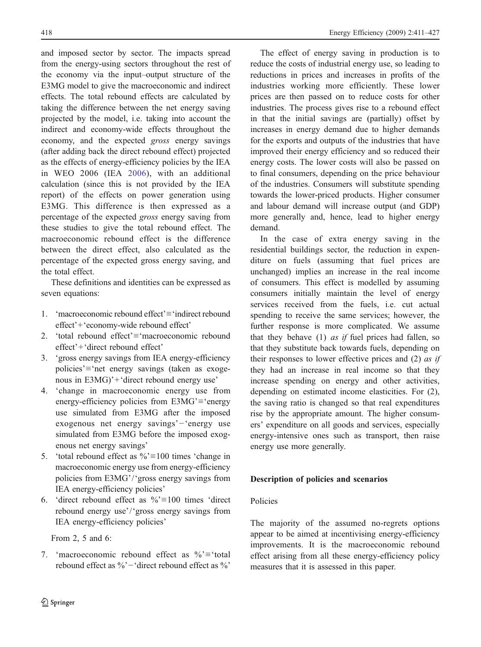<span id="page-7-0"></span>and imposed sector by sector. The impacts spread from the energy-using sectors throughout the rest of the economy via the input–output structure of the E3MG model to give the macroeconomic and indirect effects. The total rebound effects are calculated by taking the difference between the net energy saving projected by the model, i.e. taking into account the indirect and economy-wide effects throughout the economy, and the expected gross energy savings (after adding back the direct rebound effect) projected as the effects of energy-efficiency policies by the IEA in WEO 2006 (IEA [2006\)](#page-15-0), with an additional calculation (since this is not provided by the IEA report) of the effects on power generation using E3MG. This difference is then expressed as a percentage of the expected gross energy saving from these studies to give the total rebound effect. The macroeconomic rebound effect is the difference between the direct effect, also calculated as the percentage of the expected gross energy saving, and the total effect.

These definitions and identities can be expressed as seven equations:

- 1. 'macroeconomic rebound effect'≡'indirect rebound effect'+'economy-wide rebound effect'
- 2. 'total rebound effect'≡'macroeconomic rebound effect'+'direct rebound effect'
- 3. 'gross energy savings from IEA energy-efficiency policies'≡'net energy savings (taken as exogenous in E3MG)'+'direct rebound energy use'
- 4. 'change in macroeconomic energy use from energy-efficiency policies from E3MG'≡'energy use simulated from E3MG after the imposed exogenous net energy savings'−'energy use simulated from E3MG before the imposed exogenous net energy savings'
- 5. 'total rebound effect as  $\%$ '≡100 times 'change in macroeconomic energy use from energy-efficiency policies from E3MG'/'gross energy savings from IEA energy-efficiency policies'
- 6. 'direct rebound effect as  $\%$ '=100 times 'direct rebound energy use'/'gross energy savings from IEA energy-efficiency policies'

From 2, 5 and 6:

7. 'macroeconomic rebound effect as %'≡'total rebound effect as %'−'direct rebound effect as %'

The effect of energy saving in production is to reduce the costs of industrial energy use, so leading to reductions in prices and increases in profits of the industries working more efficiently. These lower prices are then passed on to reduce costs for other industries. The process gives rise to a rebound effect in that the initial savings are (partially) offset by increases in energy demand due to higher demands for the exports and outputs of the industries that have improved their energy efficiency and so reduced their energy costs. The lower costs will also be passed on to final consumers, depending on the price behaviour of the industries. Consumers will substitute spending towards the lower-priced products. Higher consumer and labour demand will increase output (and GDP) more generally and, hence, lead to higher energy demand.

In the case of extra energy saving in the residential buildings sector, the reduction in expenditure on fuels (assuming that fuel prices are unchanged) implies an increase in the real income of consumers. This effect is modelled by assuming consumers initially maintain the level of energy services received from the fuels, i.e. cut actual spending to receive the same services; however, the further response is more complicated. We assume that they behave  $(1)$  *as if* fuel prices had fallen, so that they substitute back towards fuels, depending on their responses to lower effective prices and  $(2)$  as if they had an increase in real income so that they increase spending on energy and other activities, depending on estimated income elasticities. For (2), the saving ratio is changed so that real expenditures rise by the appropriate amount. The higher consumers' expenditure on all goods and services, especially energy-intensive ones such as transport, then raise energy use more generally.

# Description of policies and scenarios

# Policies

The majority of the assumed no-regrets options appear to be aimed at incentivising energy-efficiency improvements. It is the macroeconomic rebound effect arising from all these energy-efficiency policy measures that it is assessed in this paper.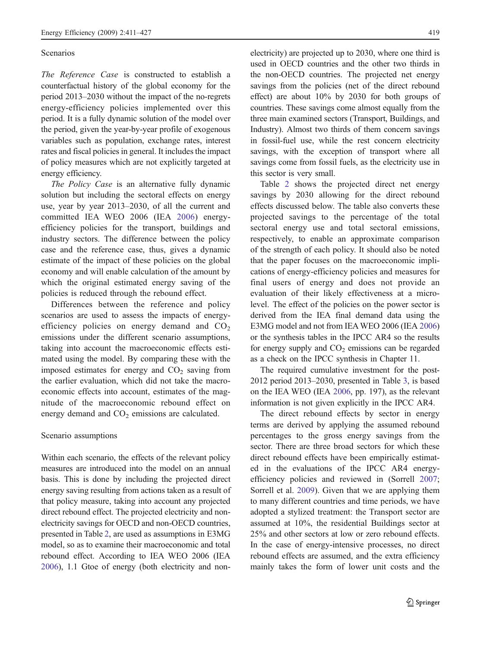#### Scenarios

The Reference Case is constructed to establish a counterfactual history of the global economy for the period 2013–2030 without the impact of the no-regrets energy-efficiency policies implemented over this period. It is a fully dynamic solution of the model over the period, given the year-by-year profile of exogenous variables such as population, exchange rates, interest rates and fiscal policies in general. It includes the impact of policy measures which are not explicitly targeted at energy efficiency.

The Policy Case is an alternative fully dynamic solution but including the sectoral effects on energy use, year by year 2013–2030, of all the current and committed IEA WEO 2006 (IEA [2006\)](#page-15-0) energyefficiency policies for the transport, buildings and industry sectors. The difference between the policy case and the reference case, thus, gives a dynamic estimate of the impact of these policies on the global economy and will enable calculation of the amount by which the original estimated energy saving of the policies is reduced through the rebound effect.

Differences between the reference and policy scenarios are used to assess the impacts of energyefficiency policies on energy demand and  $CO<sub>2</sub>$ emissions under the different scenario assumptions, taking into account the macroeconomic effects estimated using the model. By comparing these with the imposed estimates for energy and  $CO<sub>2</sub>$  saving from the earlier evaluation, which did not take the macroeconomic effects into account, estimates of the magnitude of the macroeconomic rebound effect on energy demand and  $CO<sub>2</sub>$  emissions are calculated.

#### Scenario assumptions

Within each scenario, the effects of the relevant policy measures are introduced into the model on an annual basis. This is done by including the projected direct energy saving resulting from actions taken as a result of that policy measure, taking into account any projected direct rebound effect. The projected electricity and nonelectricity savings for OECD and non-OECD countries, presented in Table [2,](#page-9-0) are used as assumptions in E3MG model, so as to examine their macroeconomic and total rebound effect. According to IEA WEO 2006 (IEA [2006](#page-15-0)), 1.1 Gtoe of energy (both electricity and nonelectricity) are projected up to 2030, where one third is used in OECD countries and the other two thirds in the non-OECD countries. The projected net energy savings from the policies (net of the direct rebound effect) are about 10% by 2030 for both groups of countries. These savings come almost equally from the three main examined sectors (Transport, Buildings, and Industry). Almost two thirds of them concern savings in fossil-fuel use, while the rest concern electricity savings, with the exception of transport where all savings come from fossil fuels, as the electricity use in this sector is very small.

Table [2](#page-9-0) shows the projected direct net energy savings by 2030 allowing for the direct rebound effects discussed below. The table also converts these projected savings to the percentage of the total sectoral energy use and total sectoral emissions, respectively, to enable an approximate comparison of the strength of each policy. It should also be noted that the paper focuses on the macroeconomic implications of energy-efficiency policies and measures for final users of energy and does not provide an evaluation of their likely effectiveness at a microlevel. The effect of the policies on the power sector is derived from the IEA final demand data using the E3MG model and not from IEAWEO 2006 (IEA [2006](#page-15-0)) or the synthesis tables in the IPCC AR4 so the results for energy supply and  $CO<sub>2</sub>$  emissions can be regarded as a check on the IPCC synthesis in Chapter 11.

The required cumulative investment for the post-2012 period 2013–2030, presented in Table [3,](#page-10-0) is based on the IEA WEO (IEA [2006,](#page-15-0) pp. 197), as the relevant information is not given explicitly in the IPCC AR4.

The direct rebound effects by sector in energy terms are derived by applying the assumed rebound percentages to the gross energy savings from the sector. There are three broad sectors for which these direct rebound effects have been empirically estimated in the evaluations of the IPCC AR4 energyefficiency policies and reviewed in (Sorrell [2007;](#page-16-0) Sorrell et al. [2009](#page-16-0)). Given that we are applying them to many different countries and time periods, we have adopted a stylized treatment: the Transport sector are assumed at 10%, the residential Buildings sector at 25% and other sectors at low or zero rebound effects. In the case of energy-intensive processes, no direct rebound effects are assumed, and the extra efficiency mainly takes the form of lower unit costs and the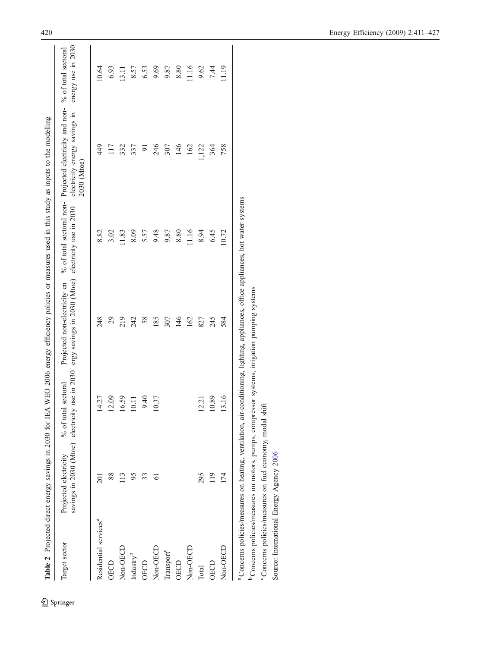<span id="page-9-0"></span>

| Target sector                     | savings in 2030 (Mtoe)<br>Projected electricity | electricity use in 2030<br>% of total sectoral | ergy savings in 2030 (Mtoe)<br>Projected non-electricity en | electricity use in 2030 | $\%$ of total sectoral non- Projected electricity and non- $\%$ of total sectoral<br>electricity energy savings in<br>2030 (Mtoe) | energy use in 2030 |
|-----------------------------------|-------------------------------------------------|------------------------------------------------|-------------------------------------------------------------|-------------------------|-----------------------------------------------------------------------------------------------------------------------------------|--------------------|
| Residential services <sup>a</sup> |                                                 | 14.27                                          | 248                                                         | 8.82                    | 449                                                                                                                               | 10.64              |
| OECD                              |                                                 | 12.09                                          | 29                                                          | 3.02                    | 117                                                                                                                               | 6.93               |
| Non-OECD                          |                                                 | 16.59                                          | 219                                                         | 11.83                   | 332                                                                                                                               | $\overline{13.1}$  |
| Industry <sup>b</sup>             | 56                                              | 10.11                                          | 242                                                         | 8.09                    | 337                                                                                                                               | 8.57               |
| <b>OECD</b>                       |                                                 | 9.40                                           | 58                                                          | 5.57                    | 5                                                                                                                                 | 6.53               |
| Non-OECD                          | 5                                               | 10.37                                          | 185                                                         | 9.48                    | 246                                                                                                                               | 9.69               |
| Transport <sup>c</sup>            |                                                 |                                                | 307                                                         | 9.87                    | 307                                                                                                                               | 9.87               |
| <b>OECD</b>                       |                                                 |                                                | 146                                                         | 8.80                    | 146                                                                                                                               | 8.80               |
| Non-OECD                          |                                                 |                                                | 162                                                         | 11.16                   | 162                                                                                                                               | 11.16              |
| Total                             | 295                                             | 12.21                                          | 827                                                         | 8.94                    | 1,122                                                                                                                             | 9.62               |
| <b>OECD</b>                       | 119                                             | 10.89                                          | 245                                                         | 6.45                    | 364                                                                                                                               | 7.44               |
| Non-OECD                          | 174                                             | 13.16                                          | 584                                                         | 10.72                   | 758                                                                                                                               | 11.19              |

<sup>b</sup> Concerns policies/measures on motors, pumps, compressor systems, irrigation pumping systems bConcerns policies/measures on motors, pumps, compressor systems, irrigation pumping systems

°Concerns policies/measures on fuel economy, modal shift cConcerns policies/measures on fuel economy, modal shift

Source: International Energy Agency 2006 Source: International Energy Agency [2006](#page-15-0)

 $\underline{\textcircled{\tiny 2}}$  Springer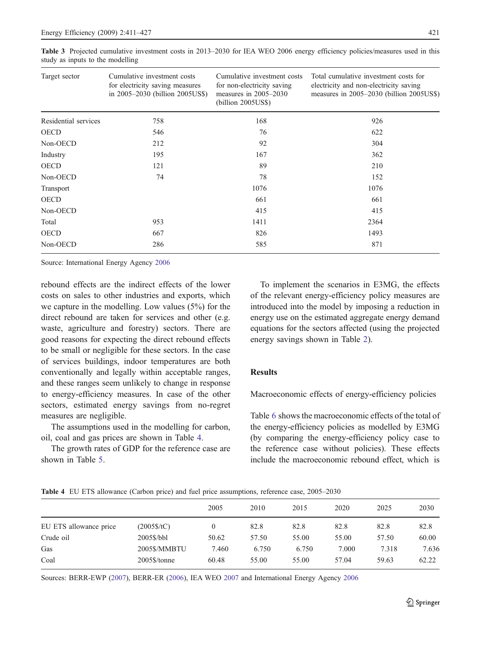| Target sector        | Cumulative investment costs<br>for electricity saving measures<br>in 2005–2030 (billion 2005US\$) | Cumulative investment costs<br>for non-electricity saving<br>measures in $2005-2030$<br>(billion 2005US <sub>8</sub> ) | Total cumulative investment costs for<br>electricity and non-electricity saving<br>measures in $2005-2030$ (billion $2005US\$ ) |
|----------------------|---------------------------------------------------------------------------------------------------|------------------------------------------------------------------------------------------------------------------------|---------------------------------------------------------------------------------------------------------------------------------|
| Residential services | 758                                                                                               | 168                                                                                                                    | 926                                                                                                                             |
| <b>OECD</b>          | 546                                                                                               | 76                                                                                                                     | 622                                                                                                                             |
| Non-OECD             | 212                                                                                               | 92                                                                                                                     | 304                                                                                                                             |
| Industry             | 195                                                                                               | 167                                                                                                                    | 362                                                                                                                             |
| <b>OECD</b>          | 121                                                                                               | 89                                                                                                                     | 210                                                                                                                             |
| Non-OECD             | 74                                                                                                | 78                                                                                                                     | 152                                                                                                                             |
| Transport            |                                                                                                   | 1076                                                                                                                   | 1076                                                                                                                            |
| <b>OECD</b>          |                                                                                                   | 661                                                                                                                    | 661                                                                                                                             |
| Non-OECD             |                                                                                                   | 415                                                                                                                    | 415                                                                                                                             |
| Total                | 953                                                                                               | 1411                                                                                                                   | 2364                                                                                                                            |
| <b>OECD</b>          | 667                                                                                               | 826                                                                                                                    | 1493                                                                                                                            |
| Non-OECD             | 286                                                                                               | 585                                                                                                                    | 871                                                                                                                             |

<span id="page-10-0"></span>Table 3 Projected cumulative investment costs in 2013–2030 for IEA WEO 2006 energy efficiency policies/measures used in this study as inputs to the modelling

Source: International Energy Agency [2006](#page-15-0)

rebound effects are the indirect effects of the lower costs on sales to other industries and exports, which we capture in the modelling. Low values (5%) for the direct rebound are taken for services and other (e.g. waste, agriculture and forestry) sectors. There are good reasons for expecting the direct rebound effects to be small or negligible for these sectors. In the case of services buildings, indoor temperatures are both conventionally and legally within acceptable ranges, and these ranges seem unlikely to change in response to energy-efficiency measures. In case of the other sectors, estimated energy savings from no-regret measures are negligible.

The assumptions used in the modelling for carbon, oil, coal and gas prices are shown in Table 4.

The growth rates of GDP for the reference case are shown in Table [5](#page-11-0).

To implement the scenarios in E3MG, the effects of the relevant energy-efficiency policy measures are introduced into the model by imposing a reduction in energy use on the estimated aggregate energy demand equations for the sectors affected (using the projected energy savings shown in Table [2](#page-9-0)).

#### Results

Macroeconomic effects of energy-efficiency policies

Table [6](#page-11-0) shows the macroeconomic effects of the total of the energy-efficiency policies as modelled by E3MG (by comparing the energy-efficiency policy case to the reference case without policies). These effects include the macroeconomic rebound effect, which is

|  |  |  |  |  |  |  | Table 4 EU ETS allowance (Carbon price) and fuel price assumptions, reference case, 2005–2030 |  |  |  |
|--|--|--|--|--|--|--|-----------------------------------------------------------------------------------------------|--|--|--|
|--|--|--|--|--|--|--|-----------------------------------------------------------------------------------------------|--|--|--|

|                        |                    | 2005  | 2010  | 2015  | 2020  | 2025  | 2030  |
|------------------------|--------------------|-------|-------|-------|-------|-------|-------|
| EU ETS allowance price | $(2005\sqrt{2}tC)$ | 0     | 82.8  | 82.8  | 82.8  | 82.8  | 82.8  |
| Crude oil              | $2005$ \$/bbl      | 50.62 | 57.50 | 55.00 | 55.00 | 57.50 | 60.00 |
| Gas                    | 2005\$/MMBTU       | 7.460 | 6.750 | 6.750 | 7.000 | 7.318 | 7.636 |
| Coal                   | 2005\$/tonne       | 60.48 | 55.00 | 55.00 | 57.04 | 59.63 | 62.22 |

Sources: BERR-EWP [\(2007](#page-15-0)), BERR-ER [\(2006](#page-15-0)), IEA WEO [2007](#page-15-0) and International Energy Agency [2006](#page-15-0)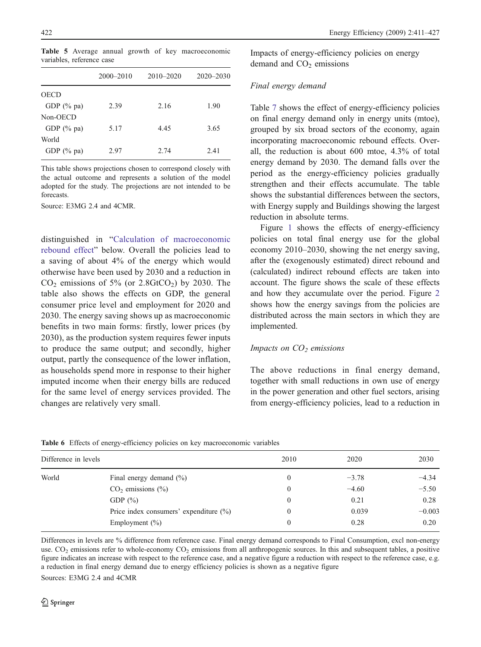<span id="page-11-0"></span>Table 5 Average annual growth of key macroeconomic variables, reference case

|               | $2000 - 2010$ | $2010 - 2020$ | $2020 - 2030$ |
|---------------|---------------|---------------|---------------|
| <b>OECD</b>   |               |               |               |
| GDP $(\%$ pa) | 2.39          | 2.16          | 1.90          |
| Non-OECD      |               |               |               |
| GDP $(\%$ pa) | 5.17          | 4.45          | 3.65          |
| World         |               |               |               |
| GDP $(%$      | 2.97          | 2.74          | 2.41          |
|               |               |               |               |

This table shows projections chosen to correspond closely with the actual outcome and represents a solution of the model adopted for the study. The projections are not intended to be forecasts.

Source: E3MG 2.4 and 4CMR.

distinguished in "[Calculation of macroeconomic](#page-12-0) [rebound effect](#page-12-0)" below. Overall the policies lead to a saving of about 4% of the energy which would otherwise have been used by 2030 and a reduction in  $CO<sub>2</sub>$  emissions of 5% (or 2.8GtCO<sub>2</sub>) by 2030. The table also shows the effects on GDP, the general consumer price level and employment for 2020 and 2030. The energy saving shows up as macroeconomic benefits in two main forms: firstly, lower prices (by 2030), as the production system requires fewer inputs to produce the same output; and secondly, higher output, partly the consequence of the lower inflation, as households spend more in response to their higher imputed income when their energy bills are reduced for the same level of energy services provided. The changes are relatively very small.

Impacts of energy-efficiency policies on energy demand and  $CO<sub>2</sub>$  emissions

#### Final energy demand

Table [7](#page-12-0) shows the effect of energy-efficiency policies on final energy demand only in energy units (mtoe), grouped by six broad sectors of the economy, again incorporating macroeconomic rebound effects. Overall, the reduction is about 600 mtoe, 4.3% of total energy demand by 2030. The demand falls over the period as the energy-efficiency policies gradually strengthen and their effects accumulate. The table shows the substantial differences between the sectors, with Energy supply and Buildings showing the largest reduction in absolute terms.

Figure [1](#page-12-0) shows the effects of energy-efficiency policies on total final energy use for the global economy 2010–2030, showing the net energy saving, after the (exogenously estimated) direct rebound and (calculated) indirect rebound effects are taken into account. The figure shows the scale of these effects and how they accumulate over the period. Figure [2](#page-13-0) shows how the energy savings from the policies are distributed across the main sectors in which they are implemented.

#### Impacts on  $CO<sub>2</sub>$  emissions

The above reductions in final energy demand, together with small reductions in own use of energy in the power generation and other fuel sectors, arising from energy-efficiency policies, lead to a reduction in

Table 6 Effects of energy-efficiency policies on key macroeconomic variables

| Difference in levels |                                            | 2010             | 2020    | 2030     |
|----------------------|--------------------------------------------|------------------|---------|----------|
| World                | Final energy demand $(\% )$                | 0                | $-3.78$ | $-4.34$  |
|                      | $CO2$ emissions $(\% )$                    | $\bf{0}$         | $-4.60$ | $-5.50$  |
|                      | GDP $(\% )$                                | $\theta$         | 0.21    | 0.28     |
|                      | Price index consumers' expenditure $(\% )$ | $\theta$         | 0.039   | $-0.003$ |
|                      | Employment $(\% )$                         | $\boldsymbol{0}$ | 0.28    | 0.20     |

Differences in levels are % difference from reference case. Final energy demand corresponds to Final Consumption, excl non-energy use.  $CO<sub>2</sub>$  emissions refer to whole-economy  $CO<sub>2</sub>$  emissions from all anthropogenic sources. In this and subsequent tables, a positive figure indicates an increase with respect to the reference case, and a negative figure a reduction with respect to the reference case, e.g. a reduction in final energy demand due to energy efficiency policies is shown as a negative figure Sources: E3MG 2.4 and 4CMR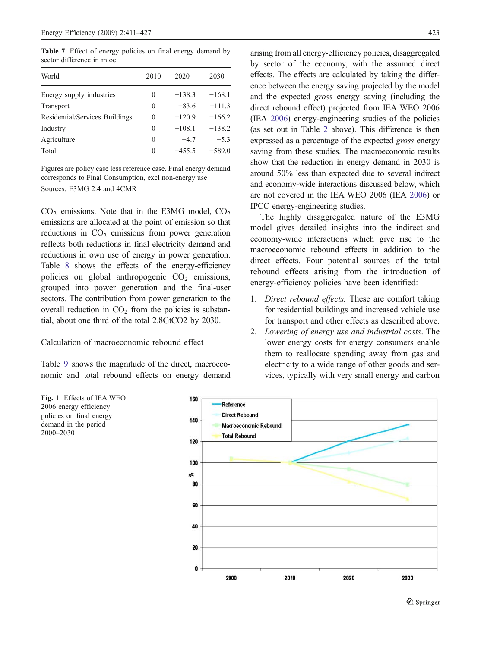<span id="page-12-0"></span>Table 7 Effect of energy policies on final energy demand by sector difference in mtoe

| World                          | 2010 | 2020     | 2030     |
|--------------------------------|------|----------|----------|
| Energy supply industries       | 0    | $-138.3$ | $-168.1$ |
| Transport                      | 0    | $-83.6$  | $-111.3$ |
| Residential/Services Buildings | 0    | $-120.9$ | $-166.2$ |
| Industry                       | 0    | $-108.1$ | $-138.2$ |
| Agriculture                    | 0    | $-4.7$   | $-5.3$   |
| Total                          | 0    | $-455.5$ | $-589.0$ |
|                                |      |          |          |

Figures are policy case less reference case. Final energy demand corresponds to Final Consumption, excl non-energy use Sources: E3MG 2.4 and 4CMR

 $CO<sub>2</sub>$  emissions. Note that in the E3MG model,  $CO<sub>2</sub>$ emissions are allocated at the point of emission so that reductions in  $CO<sub>2</sub>$  emissions from power generation reflects both reductions in final electricity demand and reductions in own use of energy in power generation. Table [8](#page-13-0) shows the effects of the energy-efficiency policies on global anthropogenic  $CO<sub>2</sub>$  emissions, grouped into power generation and the final-user sectors. The contribution from power generation to the overall reduction in  $CO<sub>2</sub>$  from the policies is substantial, about one third of the total 2.8GtCO2 by 2030.

Calculation of macroeconomic rebound effect

Table [9](#page-14-0) shows the magnitude of the direct, macroeconomic and total rebound effects on energy demand arising from all energy-efficiency policies, disaggregated by sector of the economy, with the assumed direct effects. The effects are calculated by taking the difference between the energy saving projected by the model and the expected gross energy saving (including the direct rebound effect) projected from IEA WEO 2006 (IEA [2006](#page-15-0)) energy-engineering studies of the policies (as set out in Table [2](#page-9-0) above). This difference is then expressed as a percentage of the expected gross energy saving from these studies. The macroeconomic results show that the reduction in energy demand in 2030 is around 50% less than expected due to several indirect and economy-wide interactions discussed below, which are not covered in the IEA WEO 2006 (IEA [2006\)](#page-15-0) or IPCC energy-engineering studies.

The highly disaggregated nature of the E3MG model gives detailed insights into the indirect and economy-wide interactions which give rise to the macroeconomic rebound effects in addition to the direct effects. Four potential sources of the total rebound effects arising from the introduction of energy-efficiency policies have been identified:

- 1. Direct rebound effects. These are comfort taking for residential buildings and increased vehicle use for transport and other effects as described above.
- 2. Lowering of energy use and industrial costs. The lower energy costs for energy consumers enable them to reallocate spending away from gas and electricity to a wide range of other goods and services, typically with very small energy and carbon

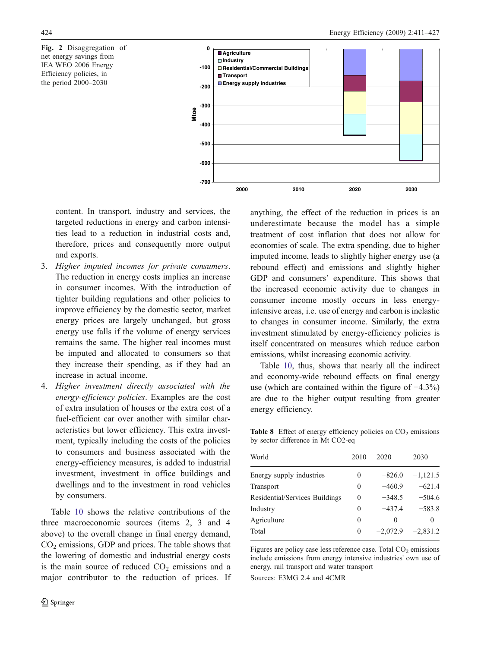<span id="page-13-0"></span>Fig. 2 Disaggregation of net energy savings from IEA WEO 2006 Energy Efficiency policies, in the period 2000–2030



content. In transport, industry and services, the targeted reductions in energy and carbon intensities lead to a reduction in industrial costs and, therefore, prices and consequently more output and exports.

- 3. Higher imputed incomes for private consumers. The reduction in energy costs implies an increase in consumer incomes. With the introduction of tighter building regulations and other policies to improve efficiency by the domestic sector, market energy prices are largely unchanged, but gross energy use falls if the volume of energy services remains the same. The higher real incomes must be imputed and allocated to consumers so that they increase their spending, as if they had an increase in actual income.
- 4. Higher investment directly associated with the energy-efficiency policies. Examples are the cost of extra insulation of houses or the extra cost of a fuel-efficient car over another with similar characteristics but lower efficiency. This extra investment, typically including the costs of the policies to consumers and business associated with the energy-efficiency measures, is added to industrial investment, investment in office buildings and dwellings and to the investment in road vehicles by consumers.

Table [10](#page-14-0) shows the relative contributions of the three macroeconomic sources (items 2, 3 and 4 above) to the overall change in final energy demand,  $CO<sub>2</sub>$  emissions, GDP and prices. The table shows that the lowering of domestic and industrial energy costs is the main source of reduced  $CO<sub>2</sub>$  emissions and a major contributor to the reduction of prices. If anything, the effect of the reduction in prices is an underestimate because the model has a simple treatment of cost inflation that does not allow for economies of scale. The extra spending, due to higher imputed income, leads to slightly higher energy use (a rebound effect) and emissions and slightly higher GDP and consumers' expenditure. This shows that the increased economic activity due to changes in consumer income mostly occurs in less energyintensive areas, i.e. use of energy and carbon is inelastic to changes in consumer income. Similarly, the extra investment stimulated by energy-efficiency policies is itself concentrated on measures which reduce carbon emissions, whilst increasing economic activity.

Table [10](#page-14-0), thus, shows that nearly all the indirect and economy-wide rebound effects on final energy use (which are contained within the figure of −4.3%) are due to the higher output resulting from greater energy efficiency.

**Table 8** Effect of energy efficiency policies on  $CO<sub>2</sub>$  emissions by sector difference in Mt CO2-eq

| World                          | 2010     | 2020       | 2030       |
|--------------------------------|----------|------------|------------|
| Energy supply industries       | 0        | $-826.0$   | $-1,121.5$ |
| Transport                      | $\theta$ | $-460.9$   | $-621.4$   |
| Residential/Services Buildings | $\theta$ | $-348.5$   | $-504.6$   |
| Industry                       | $\theta$ | $-437.4$   | $-583.8$   |
| Agriculture                    | 0        | 0          | 0          |
| Total                          | 0        | $-2.072.9$ | $-2.831.2$ |

Figures are policy case less reference case. Total  $CO<sub>2</sub>$  emissions include emissions from energy intensive industries' own use of energy, rail transport and water transport

Sources: E3MG 2.4 and 4CMR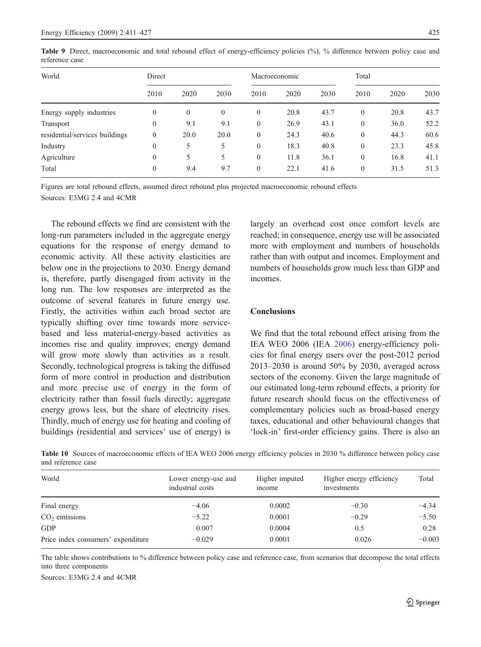<span id="page-14-0"></span>

|                | <b>Table 9</b> Direct, macroeconomic and total rebound effect of energy-efficiency policies (%), % difference between policy case and |  |  |  |  |  |  |  |  |
|----------------|---------------------------------------------------------------------------------------------------------------------------------------|--|--|--|--|--|--|--|--|
| reference case |                                                                                                                                       |  |  |  |  |  |  |  |  |

| World                          | Direct           |              |              |              | Macroeconomic |      | Total        |      |      |  |
|--------------------------------|------------------|--------------|--------------|--------------|---------------|------|--------------|------|------|--|
|                                | 2010             | 2020         | 2030         | 2010         | 2020          | 2030 | 2010         | 2020 | 2030 |  |
| Energy supply industries       | $\theta$         | $\mathbf{0}$ | $\mathbf{0}$ | $\theta$     | 20.8          | 43.7 | $\mathbf{0}$ | 20.8 | 43.7 |  |
| Transport                      | $\mathbf{0}$     | 9.1          | 9.1          | $\mathbf{0}$ | 26.9          | 43.1 | $\mathbf{0}$ | 36.0 | 52.2 |  |
| residential/services buildings | $\theta$         | 20.0         | 20.0         | $\theta$     | 24.3          | 40.6 | $\mathbf{0}$ | 44.3 | 60.6 |  |
| Industry                       | $\boldsymbol{0}$ | 5            | 5            | $\theta$     | 18.3          | 40.8 | $\mathbf{0}$ | 23.3 | 45.8 |  |
| Agriculture                    | $\boldsymbol{0}$ | 5            | 5            | $\Omega$     | 11.8          | 36.1 | $\mathbf{0}$ | 16.8 | 41.1 |  |
| Total                          | $\theta$         | 9.4          | 9.7          | $\theta$     | 22.1          | 41.6 | $\mathbf{0}$ | 31.5 | 51.3 |  |

Figures are total rebound effects, assumed direct rebound plus projected macroeconomic rebound effects Sources: E3MG 2.4 and 4CMR

The rebound effects we find are consistent with the long-run parameters included in the aggregate energy equations for the response of energy demand to economic activity. All these activity elasticities are below one in the projections to 2030. Energy demand is, therefore, partly disengaged from activity in the long run. The low responses are interpreted as the outcome of several features in future energy use. Firstly, the activities within each broad sector are typically shifting over time towards more servicebased and less material-energy-based activities as incomes rise and quality improves; energy demand will grow more slowly than activities as a result. Secondly, technological progress is taking the diffused form of more control in production and distribution and more precise use of energy in the form of electricity rather than fossil fuels directly; aggregate energy grows less, but the share of electricity rises. Thirdly, much of energy use for heating and cooling of buildings (residential and services' use of energy) is

largely an overhead cost once comfort levels are reached; in consequence, energy use will be associated more with employment and numbers of households rather than with output and incomes. Employment and numbers of households grow much less than GDP and incomes.

### **Conclusions**

We find that the total rebound effect arising from the IEA WEO 2006 (IEA [2006](#page-15-0)) energy-efficiency policies for final energy users over the post-2012 period 2013–2030 is around 50% by 2030, averaged across sectors of the economy. Given the large magnitude of our estimated long-term rebound effects, a priority for future research should focus on the effectiveness of complementary policies such as broad-based energy taxes, educational and other behavioural changes that 'lock-in' first-order efficiency gains. There is also an

Table 10 Sources of macroeconomic effects of IEA WEO 2006 energy efficiency policies in 2030 % difference between policy case and reference case

| World                              | Lower energy-use and<br>industrial costs | Higher imputed<br>income | Higher energy efficiency<br>investments | Total    |
|------------------------------------|------------------------------------------|--------------------------|-----------------------------------------|----------|
| Final energy                       | $-4.06$                                  | 0.0002                   | $-0.30$                                 | $-4.34$  |
| $CO2$ emissions                    | $-5.22$                                  | 0.0001                   | $-0.29$                                 | $-5.50$  |
| GDP                                | 0.007                                    | 0.0004                   | 0.5                                     | 0.28     |
| Price index consumers' expenditure | $-0.029$                                 | 0.0001                   | 0.026                                   | $-0.003$ |

The table shows contributions to % difference between policy case and reference case, from scenarios that decompose the total effects into three components

Sources: E3MG 2.4 and 4CMR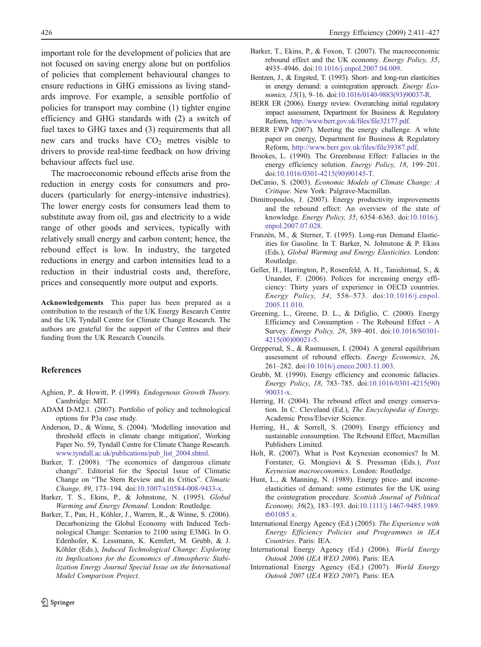<span id="page-15-0"></span>important role for the development of policies that are not focused on saving energy alone but on portfolios of policies that complement behavioural changes to ensure reductions in GHG emissions as living standards improve. For example, a sensible portfolio of policies for transport may combine (1) tighter engine efficiency and GHG standards with (2) a switch of fuel taxes to GHG taxes and (3) requirements that all new cars and trucks have  $CO<sub>2</sub>$  metres visible to drivers to provide real-time feedback on how driving behaviour affects fuel use.

The macroeconomic rebound effects arise from the reduction in energy costs for consumers and producers (particularly for energy-intensive industries). The lower energy costs for consumers lead them to substitute away from oil, gas and electricity to a wide range of other goods and services, typically with relatively small energy and carbon content; hence, the rebound effect is low. In industry, the targeted reductions in energy and carbon intensities lead to a reduction in their industrial costs and, therefore, prices and consequently more output and exports.

Acknowledgements This paper has been prepared as a contribution to the research of the UK Energy Research Centre and the UK Tyndall Centre for Climate Change Research. The authors are grateful for the support of the Centres and their funding from the UK Research Councils.

#### References

- Aghion, P., & Howitt, P. (1998). Endogenous Growth Theory. Cambridge: MIT.
- ADAM D-M2.1. (2007). Portfolio of policy and technological options for P3a case study.
- Anderson, D., & Winne, S. (2004). 'Modelling innovation and threshold effects in climate change mitigation', Working Paper No. 59, Tyndall Centre for Climate Change Research. [www.tyndall.ac.uk/publications/pub\\_list\\_2004.shtml.](http://www.tyndall.ac.uk/publications/pub_list_2004.shtml)
- Barker, T. (2008). 'The economics of dangerous climate change". Editorial for the Special Issue of Climatic Change on "The Stern Review and its Critics". Climatic Change, 89, 173–194. doi:[10.1007/s10584-008-9433-x](http://dx.doi.org/10.1007/s10584-008-9433-x).
- Barker, T. S., Ekins, P., & Johnstone, N. (1995). Global Warming and Energy Demand. London: Routledge.
- Barker, T., Pan, H., Köhler, J., Warren, R., & Winne, S. (2006). Decarbonizing the Global Economy with Induced Technological Change: Scenarios to 2100 using E3MG. In O. Edenhofer, K. Lessmann, K. Kemfert, M. Grubb, & J. Köhler (Eds.), Induced Technological Change: Exploring its Implications for the Economics of Atmospheric Stabilization Energy Journal Special Issue on the International Model Comparison Project.
- Barker, T., Ekins, P., & Foxon, T. (2007). The macroeconomic rebound effect and the UK economy. Energy Policy, 35, 4935–4946. doi:[10.1016/j.enpol.2007.04.009](http://dx.doi.org/10.1016/j.enpol.2007.04.009).
- Bentzen, J., & Engsted, T. (1993). Short- and long-run elasticities in energy demand: a cointegration approach. Energy Economics, 15(1), 9–16. doi[:10.1016/0140-9883\(93\)90037-R](http://dx.doi.org/10.1016/0140-9883(93)90037-R).
- BERR ER (2006). Energy review. Overarching initial regulatory impact assessment, Department for Business & Regulatory Reform, <http://www.berr.gov.uk/files/file32177.pdf>.
- BERR EWP (2007). Meeting the energy challenge. A white paper on energy, Department for Business & Regulatory Reform, <http://www.berr.gov.uk/files/file39387.pdf>.
- Brookes, L. (1990). The Greenhouse Effect: Fallacies in the energy efficiency solution. Energy Policy, 18, 199–201. doi:[10.1016/0301-4215\(90\)90145-T.](http://dx.doi.org/10.1016/0301-4215(90)90145-T)
- DeCanio, S. (2003). Economic Models of Climate Change: A Critique. New York: Palgrave-Macmillan.
- Dimitropoulos, J. (2007). Energy productivity improvements and the rebound effect: An overview of the state of knowledge. Energy Policy, 35, 6354–6363. doi[:10.1016/j.](http://dx.doi.org/10.1016/j.enpol.2007.07.028) [enpol.2007.07.028.](http://dx.doi.org/10.1016/j.enpol.2007.07.028)
- Franzén, M., & Sterner, T. (1995). Long-run Demand Elasticities for Gasoline. In T. Barker, N. Johnstone & P. Ekins (Eds.), Global Warming and Energy Elasticities. London: Routledge.
- Geller, H., Harrington, P., Rosenfeld, A. H., Tanishimad, S., & Unander, F. (2006). Polices for increasing energy efficiency: Thirty years of experience in OECD countries. Energy Policy, 34, 556–573. doi:[10.1016/j.enpol.](http://dx.doi.org/10.1016/j.enpol.2005.11.010) [2005.11.010.](http://dx.doi.org/10.1016/j.enpol.2005.11.010)
- Greening, L., Greene, D. L., & Difiglio, C. (2000). Energy Efficiency and Consumption - The Rebound Effect - A Survey. Energy Policy, 28, 389–401. doi[:10.1016/S0301-](http://dx.doi.org/10.1016/S0301-4215(00)00021-5) [4215\(00\)00021-5.](http://dx.doi.org/10.1016/S0301-4215(00)00021-5)
- Grepperud, S., & Rasmussen, I. (2004). A general equilibrium assessment of rebound effects. Energy Economics, 26, 261–282. doi[:10.1016/j.eneco.2003.11.003](http://dx.doi.org/10.1016/j.eneco.2003.11.003).
- Grubb, M. (1990). Energy efficiency and economic fallacies. Energy Policy, 18, 783–785. doi:[10.1016/0301-4215\(90\)](http://dx.doi.org/10.1016/0301-4215(90)90031-x) [90031-x.](http://dx.doi.org/10.1016/0301-4215(90)90031-x)
- Herring, H. (2004). The rebound effect and energy conservation. In C. Cleveland (Ed.), The Encyclopedia of Energy. Academic Press/Elsevier Science.
- Herring, H., & Sorrell, S. (2009). Energy efficiency and sustainable consumption. The Rebound Effect, Macmillan Publishers Limited.
- Holt, R. (2007). What is Post Keynesian economics? In M. Forstater, G. Mongiovi & S. Pressman (Eds.), Post Keynesian macroeconomics. London: Routledge.
- Hunt, L., & Manning, N. (1989). Energy price- and incomeelasticities of demand: some estimates for the UK using the cointegration procedure. Scottish Journal of Political Economy, 36(2), 183–193. doi[:10.1111/j.1467-9485.1989.](http://dx.doi.org/10.1111/j.1467-9485.1989.tb01085.x) [tb01085.x.](http://dx.doi.org/10.1111/j.1467-9485.1989.tb01085.x)
- International Energy Agency (Ed.) (2005). The Experience with Energy Efficiency Policies and Programmes in IEA Countries. Paris: IEA.
- International Energy Agency (Ed.) (2006). World Energy Outook 2006 (IEA WEO 2006). Paris: IEA
- International Energy Agency (Ed.) (2007). World Energy Outook 2007 (IEA WEO 2007). Paris: IEA